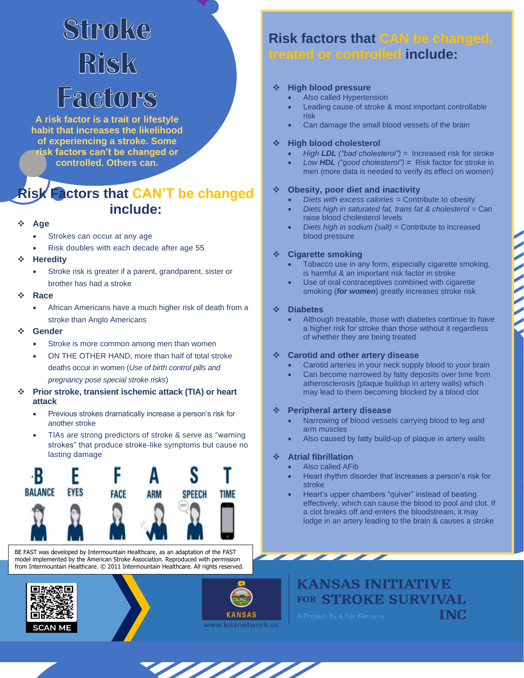# Stroke Risk Factors

**A risk factor is a trait or lifestyle habit that increases the likelihood of experiencing a stroke. Some risk factors can't be changed or controlled. Others can.**

# **Risk Factors that CAN'T be changed include:**

### ❖ **Age**

- Strokes can occur at any age
- Risk doubles with each decade after age 55
- ❖ **Heredity**
	- Stroke risk is greater if a parent, grandparent, sister or brother has had a stroke

#### ❖ **Race**

- African Americans have a much higher risk of death from a stroke than Anglo Americans
- ❖ **Gender**
	- Stroke is more common among men than women
	- ON THE OTHER HAND, more than half of total stroke deaths occur in women (*Use of birth control pills and pregnancy pose special stroke risks*)
- ❖ **Prior stroke, transient ischemic attack (TIA) or heart attack**
	- Previous strokes dramatically increase a person's risk for another stroke
	- TIAs are strong predictors of stroke & serve as "warning strokes" that produce stroke-like symptoms but cause no lasting damage



BE FAST was developed by Intermountain Healthcare, as an adaptation of the FAST model implemented by the American Stroke Association. Reproduced with permission from Intermountain Healthcare. © 2011 Intermountain Healthcare. All rights reserved.







# **Risk factors that CAN be changed, treated or controlled include:**

### ❖ **High blood pressure**

- Also called Hypertension
- Leading cause of stroke & most important controllable risk
- Can damage the small blood vessels of the brain

#### ❖ **High blood cholesterol**

- *High LDL ("bad cholesterol") =* Increased risk for stroke
- *Low HDL ("good cholesterol") =* Risk factor for stroke in men (more data is needed to verify its effect on women)

### ❖ **Obesity, poor diet and inactivity**

- *Diets with excess calories =* Contribute to obesity
- *Diets high in saturated fat, trans fat & cholesterol =* Can raise blood cholesterol levels
- *Diets high in sodium (salt) =* Contribute to increased blood pressure

### ❖ **Cigarette smoking**

- Tobacco use in any form, especially cigarette smoking, is harmful & an important risk factor in stroke
- Use of oral contraceptives combined with cigarette smoking (*for women*) greatly increases stroke risk

### ❖ **Diabetes**

Although treatable, those with diabetes continue to have a higher risk for stroke than those without it regardless of whether they are being treated

### ❖ **Carotid and other artery disease**

- Carotid arteries in your neck supply blood to your brain
- Can become narrowed by fatty deposits over time from atherosclerosis (plaque buildup in artery walls) which may lead to them becoming blocked by a blood clot

### ❖ **Peripheral artery disease**

- Narrowing of blood vessels carrying blood to leg and arm muscles
- Also caused by fatty build-up of plaque in artery walls

### ❖ **Atrial fibrillation**

- Also called AFib
	- Heart rhythm disorder that increases a person's risk for stroke
	- Heart's upper chambers "quiver" instead of beating effectively, which can cause the blood to pool and clot. If a clot breaks off and enters the bloodstream, it may lodge in an artery leading to the brain & causes a stroke

**KANSAS INITIATIVE** FOR STROKE SURVIVAL TNC.

 $\overline{\phantom{a}}$